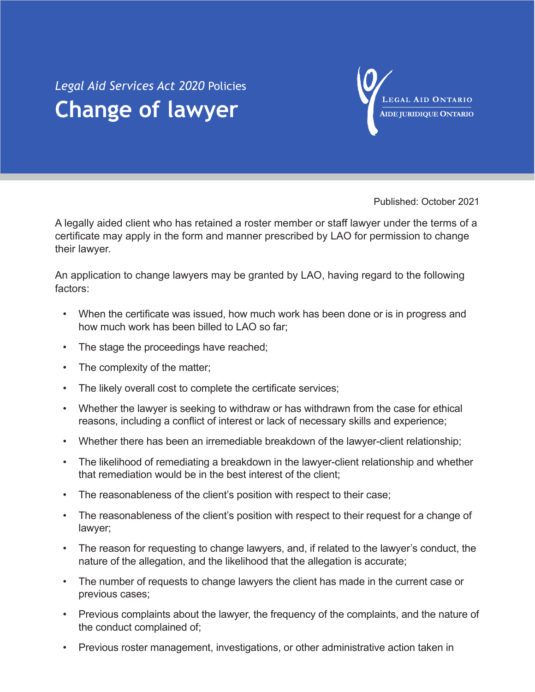## *Legal Aid Services Act 2020* Policies **Change of lawyer**



Published: October 2021

A legally aided client who has retained a roster member or staff lawyer under the terms of a certificate may apply in the form and manner prescribed by LAO for permission to change their lawyer.

An application to change lawyers may be granted by LAO, having regard to the following factors:

- When the certificate was issued, how much work has been done or is in progress and how much work has been billed to LAO so far;
- The stage the proceedings have reached;
- The complexity of the matter;
- The likely overall cost to complete the certificate services;
- Whether the lawyer is seeking to withdraw or has withdrawn from the case for ethical reasons, including a conflict of interest or lack of necessary skills and experience;
- Whether there has been an irremediable breakdown of the lawyer-client relationship;
- The likelihood of remediating a breakdown in the lawyer-client relationship and whether that remediation would be in the best interest of the client;
- The reasonableness of the client's position with respect to their case;
- The reasonableness of the client's position with respect to their request for a change of lawyer;
- The reason for requesting to change lawyers, and, if related to the lawyer's conduct, the nature of the allegation, and the likelihood that the allegation is accurate;
- The number of requests to change lawyers the client has made in the current case or previous cases;
- Previous complaints about the lawyer, the frequency of the complaints, and the nature of the conduct complained of;
- Previous roster management, investigations, or other administrative action taken in